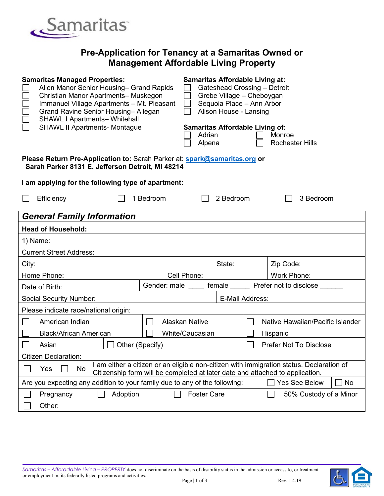

## **Pre-Application for Tenancy at a Samaritas Owned or Management Affordable Living Property**

| <b>Samaritas Managed Properties:</b><br>Allen Manor Senior Housing- Grand Rapids<br>Christian Manor Apartments- Muskegon<br>Immanuel Village Apartments - Mt. Pleasant<br>Grand Ravine Senior Housing-Allegan<br><b>SHAWL I Apartments- Whitehall</b><br><b>SHAWL II Apartments- Montague</b> | <b>Samaritas Affordable Living at:</b><br>Gateshead Crossing - Detroit<br>Grebe Village - Cheboygan<br>Sequoia Place - Ann Arbor<br>Alison House - Lansing<br><b>Samaritas Affordable Living of:</b> |                  |                 |                                  |                                                                                                                                                                           |  |  |
|-----------------------------------------------------------------------------------------------------------------------------------------------------------------------------------------------------------------------------------------------------------------------------------------------|------------------------------------------------------------------------------------------------------------------------------------------------------------------------------------------------------|------------------|-----------------|----------------------------------|---------------------------------------------------------------------------------------------------------------------------------------------------------------------------|--|--|
|                                                                                                                                                                                                                                                                                               |                                                                                                                                                                                                      | Adrian<br>Alpena |                 |                                  | Monroe<br><b>Rochester Hills</b>                                                                                                                                          |  |  |
| Please Return Pre-Application to: Sarah Parker at: spark@samaritas.org or<br>Sarah Parker 8131 E. Jefferson Detroit, MI 48214                                                                                                                                                                 |                                                                                                                                                                                                      |                  |                 |                                  |                                                                                                                                                                           |  |  |
| I am applying for the following type of apartment:                                                                                                                                                                                                                                            |                                                                                                                                                                                                      |                  |                 |                                  |                                                                                                                                                                           |  |  |
| Efficiency                                                                                                                                                                                                                                                                                    | 1 Bedroom                                                                                                                                                                                            |                  | 2 Bedroom       |                                  | 3 Bedroom                                                                                                                                                                 |  |  |
| <b>General Family Information</b>                                                                                                                                                                                                                                                             |                                                                                                                                                                                                      |                  |                 |                                  |                                                                                                                                                                           |  |  |
| <b>Head of Household:</b>                                                                                                                                                                                                                                                                     |                                                                                                                                                                                                      |                  |                 |                                  |                                                                                                                                                                           |  |  |
| 1) Name:                                                                                                                                                                                                                                                                                      |                                                                                                                                                                                                      |                  |                 |                                  |                                                                                                                                                                           |  |  |
| <b>Current Street Address:</b>                                                                                                                                                                                                                                                                |                                                                                                                                                                                                      |                  |                 |                                  |                                                                                                                                                                           |  |  |
| City:                                                                                                                                                                                                                                                                                         |                                                                                                                                                                                                      |                  | State:          |                                  | Zip Code:                                                                                                                                                                 |  |  |
| Home Phone:                                                                                                                                                                                                                                                                                   |                                                                                                                                                                                                      | Cell Phone:      |                 |                                  | Work Phone:                                                                                                                                                               |  |  |
| Date of Birth:                                                                                                                                                                                                                                                                                | Gender: male                                                                                                                                                                                         |                  | female          |                                  | Prefer not to disclose                                                                                                                                                    |  |  |
| <b>Social Security Number:</b>                                                                                                                                                                                                                                                                |                                                                                                                                                                                                      |                  | E-Mail Address: |                                  |                                                                                                                                                                           |  |  |
| Please indicate race/national origin:                                                                                                                                                                                                                                                         |                                                                                                                                                                                                      |                  |                 |                                  |                                                                                                                                                                           |  |  |
| American Indian                                                                                                                                                                                                                                                                               | <b>Alaskan Native</b>                                                                                                                                                                                |                  |                 | Native Hawaiian/Pacific Islander |                                                                                                                                                                           |  |  |
| <b>Black/African American</b>                                                                                                                                                                                                                                                                 | <b>White/Caucasian</b><br>Hispanic                                                                                                                                                                   |                  |                 |                                  |                                                                                                                                                                           |  |  |
| Other (Specify)<br><b>Prefer Not To Disclose</b><br>Asian                                                                                                                                                                                                                                     |                                                                                                                                                                                                      |                  |                 |                                  |                                                                                                                                                                           |  |  |
| Citizen Declaration:                                                                                                                                                                                                                                                                          |                                                                                                                                                                                                      |                  |                 |                                  |                                                                                                                                                                           |  |  |
| Yes<br>No                                                                                                                                                                                                                                                                                     |                                                                                                                                                                                                      |                  |                 |                                  | I am either a citizen or an eligible non-citizen with immigration status. Declaration of<br>Citizenship form will be completed at later date and attached to application. |  |  |
| Are you expecting any addition to your family due to any of the following:<br><b>Yes See Below</b><br>No                                                                                                                                                                                      |                                                                                                                                                                                                      |                  |                 |                                  |                                                                                                                                                                           |  |  |
| <b>Foster Care</b><br>Adoption<br>Pregnancy                                                                                                                                                                                                                                                   |                                                                                                                                                                                                      |                  |                 | 50% Custody of a Minor           |                                                                                                                                                                           |  |  |
| Other:                                                                                                                                                                                                                                                                                        |                                                                                                                                                                                                      |                  |                 |                                  |                                                                                                                                                                           |  |  |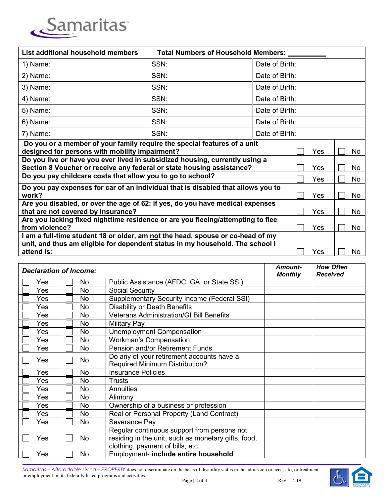

| List additional household members<br>Total Numbers of Household Members: _                                                                                              |      |                |     |    |  |  |
|-------------------------------------------------------------------------------------------------------------------------------------------------------------------------|------|----------------|-----|----|--|--|
| 1) Name:                                                                                                                                                                | SSN: | Date of Birth: |     |    |  |  |
| 2) Name:                                                                                                                                                                | SSN: | Date of Birth: |     |    |  |  |
| 3) Name:                                                                                                                                                                | SSN: | Date of Birth: |     |    |  |  |
| 4) Name:                                                                                                                                                                | SSN: | Date of Birth: |     |    |  |  |
| 5) Name:                                                                                                                                                                | SSN: | Date of Birth: |     |    |  |  |
| 6) Name:                                                                                                                                                                | SSN: | Date of Birth: |     |    |  |  |
| 7) Name:                                                                                                                                                                | SSN: | Date of Birth: |     |    |  |  |
| Do you or a member of your family require the special features of a unit<br>designed for persons with mobility impairment?                                              | Yes  | No             |     |    |  |  |
| Do you live or have you ever lived in subsidized housing, currently using a<br>Section 8 Voucher or receive any federal or state housing assistance?                    | Yes  | No.            |     |    |  |  |
| Do you pay childcare costs that allow you to go to school?                                                                                                              | Yes  | No             |     |    |  |  |
| Do you pay expenses for car of an individual that is disabled that allows you to<br>work?                                                                               | Yes  | No             |     |    |  |  |
| Are you disabled, or over the age of 62: if yes, do you have medical expenses<br>that are not covered by insurance?                                                     | Yes  | No             |     |    |  |  |
| Are you lacking fixed nighttime residence or are you fleeing/attempting to flee<br>from violence?                                                                       | Yes  | No             |     |    |  |  |
| I am a full-time student 18 or older, am <u>no</u> t the head, spouse or co-head of my<br>unit, and thus am eligible for dependent status in my household. The school I |      |                |     |    |  |  |
| attend is:                                                                                                                                                              |      |                | Yes | No |  |  |

| <b>Declaration of Income:</b> |           |                                                                                                                                        | Amount-<br><b>Monthly</b> | <b>How Often</b><br><b>Received</b> |
|-------------------------------|-----------|----------------------------------------------------------------------------------------------------------------------------------------|---------------------------|-------------------------------------|
| Yes                           | No.       | Public Assistance (AFDC, GA, or State SSI)                                                                                             |                           |                                     |
| Yes                           | <b>No</b> | <b>Social Security</b>                                                                                                                 |                           |                                     |
| Yes                           | No        | Supplementary Security Income (Federal SSI)                                                                                            |                           |                                     |
| Yes                           | No        | Disability or Death Benefits                                                                                                           |                           |                                     |
| Yes                           | No        | <b>Veterans Administration/GI Bill Benefits</b>                                                                                        |                           |                                     |
| Yes                           | No        | <b>Military Pay</b>                                                                                                                    |                           |                                     |
| Yes                           | No        | Unemployment Compensation                                                                                                              |                           |                                     |
| Yes                           | No        | <b>Workman's Compensation</b>                                                                                                          |                           |                                     |
| Yes                           | No        | <b>Pension and/or Retirement Funds</b>                                                                                                 |                           |                                     |
| Yes                           | No        | Do any of your retirement accounts have a<br><b>Required Minimum Distribution?</b>                                                     |                           |                                     |
| Yes                           | <b>No</b> | <b>Insurance Policies</b>                                                                                                              |                           |                                     |
| Yes                           | No        | <b>Trusts</b>                                                                                                                          |                           |                                     |
| Yes                           | No        | <b>Annuities</b>                                                                                                                       |                           |                                     |
| Yes                           | No.       | Alimony                                                                                                                                |                           |                                     |
| Yes                           | No        | Ownership of a business or profession                                                                                                  |                           |                                     |
| Yes                           | No.       | Real or Personal Property (Land Contract)                                                                                              |                           |                                     |
| Yes                           | No.       | Severance Pay                                                                                                                          |                           |                                     |
| Yes                           | No        | Regular continuous support from persons not<br>residing in the unit, such as monetary gifts, food,<br>clothing, payment of bills, etc. |                           |                                     |
| Yes                           | No        | Employment- include entire household                                                                                                   |                           |                                     |